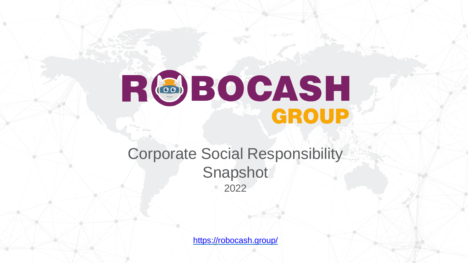# RGBOCASH

## Corporate Social Responsibility **Snapshot** 2022

<https://robocash.group/>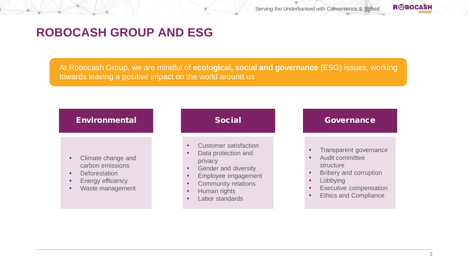### **ROBOCASH GROUP AND ESG**

At Robocash Group, we are mindful of **ecological, social and governance** (ESG) issues, working towards leaving a positive impact on the world around us

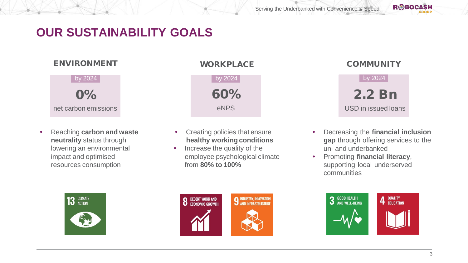## **OUR SUSTAINABILITY GOALS**



• Reaching **carbon and waste neutrality** status through lowering an environmental impact and optimised resources consumption



## ENVIRONMENT WORKPLACE COMMUNITY by 2024 by 2024 by 2024 60% eNPS

- Creating policies that ensure **healthy working conditions**
- Increase the quality of the employee psychological climate from **80% to 100%**





- Decreasing the **financial inclusion gap** through offering services to the un- and underbanked
- Promoting **financial literacy**, supporting local underserved communities

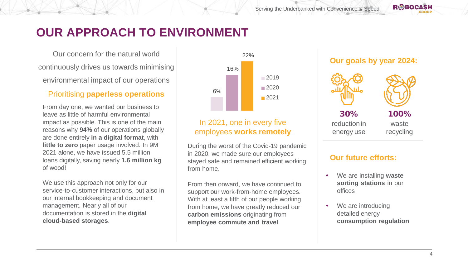#### **RBOCASH**

## **OUR APPROACH TO ENVIRONMENT**

Our concern for the natural world continuously drives us towards minimising environmental impact of our operations

#### Prioritising **paperless operations**

From day one, we wanted our business to leave as little of harmful environmental impact as possible. This is one of the main reasons why **94%** of our operations globally are done entirely **in a digital format**, with **little to zero** paper usage involved. In 9M 2021 alone, we have issued 5.5 million loans digitally, saving nearly **1.6 million kg**  of wood!

We use this approach not only for our service-to-customer interactions, but also in our internal bookkeeping and document management. Nearly all of our documentation is stored in the **digital cloud-based storages**.



#### In 2021, one in every five employees **works remotely**

During the worst of the Covid-19 pandemic in 2020, we made sure our employees stayed safe and remained efficient working from home.

From then onward, we have continued to support our work-from-home employees. With at least a fifth of our people working from home, we have greatly reduced our **carbon emissions** originating from **employee commute and travel**.







30% reductionin energy use

100% waste recycling

#### **Our future efforts:**

- We are installing **waste sorting stations** in our offices
- We are introducing detailed energy **consumption regulation**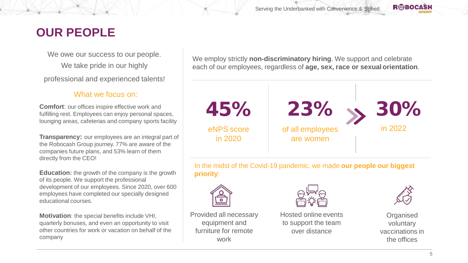## **OUR PEOPLE**

We owe our success to our people. We take pride in our highly professional and experienced talents!

#### What we focus on:

**Comfort:** our offices inspire effective work and fulfilling rest. Employees can enjoy personal spaces, lounging areas, cafeterias and company sports facility

**Transparency:** our employees are an integral part of the Robocash Group journey. 77% are aware of the companies future plans, and 53% learn of them directly from the CEO!

**Education:** the growth of the company is the growth of its people. We support the professional development of our employees. Since 2020, over 600 employees have completed our specially designed educational courses.

**Motivation**: the special benefits include VHI, quarterly bonuses, and even an opportunity to visit other countries for work or vacation on behalf of the company

We employ strictly **non-discriminatory hiring**. We support and celebrate each of our employees, regardless of **age, sex, race or sexual orientation**.



In the midst of the Covid-19 pandemic, we made **our people our biggest priority**:



Provided all necessary equipment and furniture for remote work



Hosted online events to support the team over distance



**Organised** voluntary vaccinations in the offices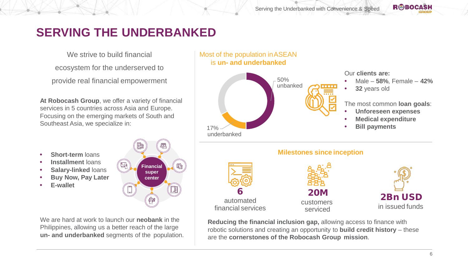## **SERVING THE UNDERBANKED**

We strive to build financial

ecosystem for the underserved to

provide real financial empowerment

**At Robocash Group**, we offer a variety of financial services in 5 countries across Asia and Europe. Focusing on the emerging markets of South and Southeast Asia, we specialize in:

**Short-term** loans

- **Installment** loans
- **Salary-linked** loans
- **Buy Now, Pay Later**
- **E-wallet**



We are hard at work to launch our **neobank** in the Philippines, allowing us a better reach of the large **un- and underbanked** segments of the population.



**Reducing the financial inclusion gap,** allowing access to finance with robotic solutions and creating an opportunity to **build credit history** – these are the **cornerstones of the Robocash Group mission**.

20M

6 automated financial services

customers serviced

2Bn USD in issued funds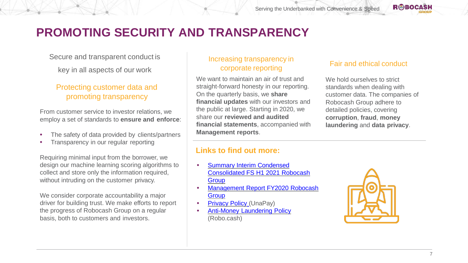## **PROMOTING SECURITY AND TRANSPARENCY**

Secure and transparent conduct is

key in all aspects of our work

#### Protecting customer data and promoting transparency

From customer service to investor relations, we employ a set of standards to **ensure and enforce**:

- The safety of data provided by clients/partners
- Transparency in our regular reporting

Requiring minimal input from the borrower, we design our machine learning scoring algorithms to collect and store only the information required, without intruding on the customer privacy.

We consider corporate accountability a major driver for building trust. We make efforts to report the progress of Robocash Group on a regular basis, both to customers and investors.

#### Increasing transparency in corporate reporting

We want to maintain an air of trust and straight-forward honesty in our reporting. On the quarterly basis, we **share financial updates** with our investors and the public at large. Starting in 2020, we share our **reviewed and audited financial statements**, accompanied with **Management reports**.

#### Fair and ethical conduct

**RBOCASH** 

We hold ourselves to strict standards when dealing with customer data. The companies of Robocash Group adhere to detailed policies, covering **corruption**, **fraud**, **money laundering** and **data privacy**.

#### **Links to find out more:**

- Summary Interim Condensed [Consolidated FS H1 2021 Robocash](https://robocash.group/wp-content/uploads/2021/09/Summary-Interim-Condensed-Consolidated-FS-H1-2021-Robocash-Group.pdf)  **Group**
- [Management Report FY2020 Robocash](https://robocash.group/wp-content/uploads/2021/05/Management-Report-FY2020-Robocash-Group.pdf) **Group**
- [Privacy Policy](https://unapay.com.ph/files/privacy_policy.pdf) (UnaPay)
- Anti-Money Laundering Policy (Robo.cash)